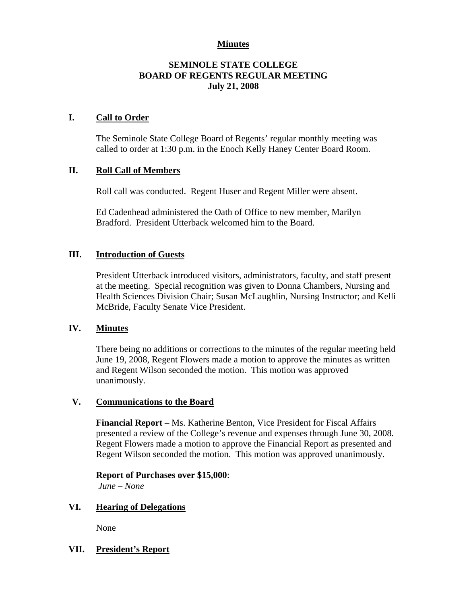## **Minutes**

## **SEMINOLE STATE COLLEGE BOARD OF REGENTS REGULAR MEETING July 21, 2008**

### **I. Call to Order**

The Seminole State College Board of Regents' regular monthly meeting was called to order at 1:30 p.m. in the Enoch Kelly Haney Center Board Room.

## **II. Roll Call of Members**

Roll call was conducted. Regent Huser and Regent Miller were absent.

Ed Cadenhead administered the Oath of Office to new member, Marilyn Bradford. President Utterback welcomed him to the Board.

## **III. Introduction of Guests**

President Utterback introduced visitors, administrators, faculty, and staff present at the meeting. Special recognition was given to Donna Chambers, Nursing and Health Sciences Division Chair; Susan McLaughlin, Nursing Instructor; and Kelli McBride, Faculty Senate Vice President.

#### **IV. Minutes**

There being no additions or corrections to the minutes of the regular meeting held June 19, 2008, Regent Flowers made a motion to approve the minutes as written and Regent Wilson seconded the motion. This motion was approved unanimously.

#### **V. Communications to the Board**

**Financial Report** – Ms. Katherine Benton, Vice President for Fiscal Affairs presented a review of the College's revenue and expenses through June 30, 2008. Regent Flowers made a motion to approve the Financial Report as presented and Regent Wilson seconded the motion. This motion was approved unanimously.

#### **Report of Purchases over \$15,000**:

*June – None*

#### **VI. Hearing of Delegations**

None

# **VII. President's Report**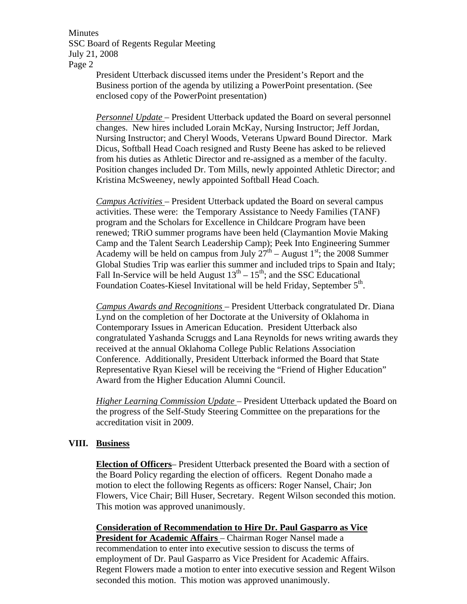Minutes SSC Board of Regents Regular Meeting July 21, 2008 Page 2

President Utterback discussed items under the President's Report and the Business portion of the agenda by utilizing a PowerPoint presentation. (See enclosed copy of the PowerPoint presentation)

*Personnel Update* – President Utterback updated the Board on several personnel changes. New hires included Lorain McKay, Nursing Instructor; Jeff Jordan, Nursing Instructor; and Cheryl Woods, Veterans Upward Bound Director. Mark Dicus, Softball Head Coach resigned and Rusty Beene has asked to be relieved from his duties as Athletic Director and re-assigned as a member of the faculty. Position changes included Dr. Tom Mills, newly appointed Athletic Director; and Kristina McSweeney, newly appointed Softball Head Coach.

*Campus Activities* – President Utterback updated the Board on several campus activities. These were: the Temporary Assistance to Needy Families (TANF) program and the Scholars for Excellence in Childcare Program have been renewed; TRiO summer programs have been held (Claymantion Movie Making Camp and the Talent Search Leadership Camp); Peek Into Engineering Summer Academy will be held on campus from July  $27<sup>th</sup>$  – August 1<sup>st</sup>; the 2008 Summer Global Studies Trip was earlier this summer and included trips to Spain and Italy; Fall In-Service will be held August  $13^{th} - 15^{th}$ ; and the SSC Educational Foundation Coates-Kiesel Invitational will be held Friday, September 5<sup>th</sup>.

*Campus Awards and Recognitions* – President Utterback congratulated Dr. Diana Lynd on the completion of her Doctorate at the University of Oklahoma in Contemporary Issues in American Education. President Utterback also congratulated Yashanda Scruggs and Lana Reynolds for news writing awards they received at the annual Oklahoma College Public Relations Association Conference. Additionally, President Utterback informed the Board that State Representative Ryan Kiesel will be receiving the "Friend of Higher Education" Award from the Higher Education Alumni Council.

*Higher Learning Commission Update* – President Utterback updated the Board on the progress of the Self-Study Steering Committee on the preparations for the accreditation visit in 2009.

#### **VIII. Business**

**Election of Officers**– President Utterback presented the Board with a section of the Board Policy regarding the election of officers. Regent Donaho made a motion to elect the following Regents as officers: Roger Nansel, Chair; Jon Flowers, Vice Chair; Bill Huser, Secretary. Regent Wilson seconded this motion. This motion was approved unanimously.

**Consideration of Recommendation to Hire Dr. Paul Gasparro as Vice President for Academic Affairs** – Chairman Roger Nansel made a recommendation to enter into executive session to discuss the terms of employment of Dr. Paul Gasparro as Vice President for Academic Affairs. Regent Flowers made a motion to enter into executive session and Regent Wilson seconded this motion. This motion was approved unanimously.